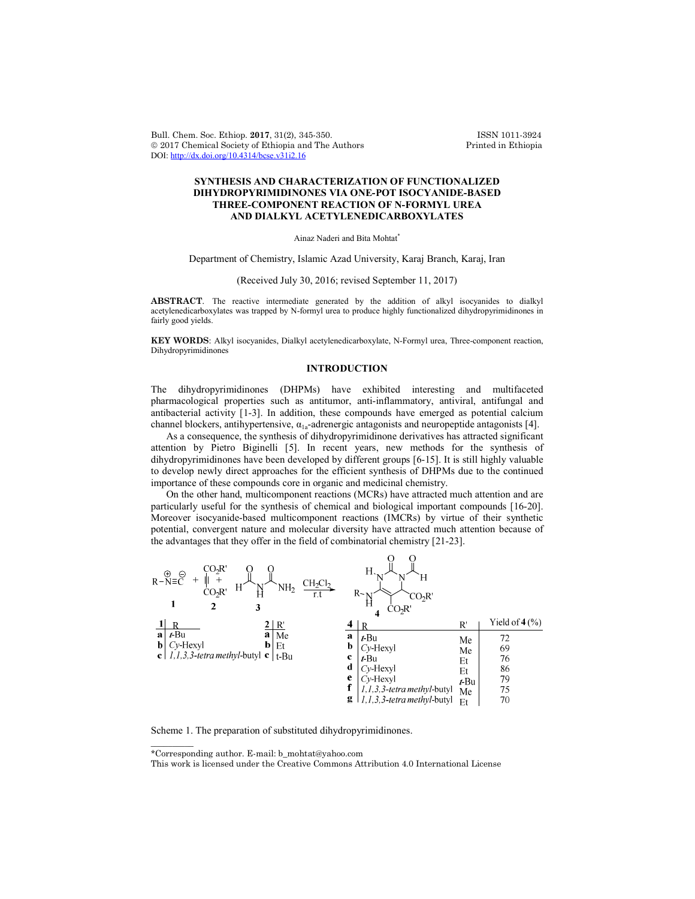Bull. Chem. Soc. Ethiop. **2017**, 31(2), 345-350. ISSN 1011-3924 2017 Chemical Society of Ethiopia and The Authors Printed in Ethiopia DOI: http://dx.doi.org/10.4314/bcse.v31i2.16

# **SYNTHESIS AND CHARACTERIZATION OF FUNCTIONALIZED DIHYDROPYRIMIDINONES VIA ONE-POT ISOCYANIDE-BASED THREE-COMPONENT REACTION OF N-FORMYL UREA AND DIALKYL ACETYLENEDICARBOXYLATES**

Ainaz Naderi and Bita Mohtat\*

Department of Chemistry, Islamic Azad University, Karaj Branch, Karaj, Iran

## (Received July 30, 2016; revised September 11, 2017)

**ABSTRACT**. The reactive intermediate generated by the addition of alkyl isocyanides to dialkyl acetylenedicarboxylates was trapped by N-formyl urea to produce highly functionalized dihydropyrimidinones in fairly good yields.

**KEY WORDS**: Alkyl isocyanides, Dialkyl acetylenedicarboxylate, N-Formyl urea, Three-component reaction, Dihydropyrimidinones

## **INTRODUCTION**

The dihydropyrimidinones (DHPMs) have exhibited interesting and multifaceted pharmacological properties such as antitumor, anti-inflammatory, antiviral, antifungal and antibacterial activity [1-3]. In addition, these compounds have emerged as potential calcium channel blockers, antihypertensive,  $\alpha_{1a}$ -adrenergic antagonists and neuropeptide antagonists [4].

As a consequence, the synthesis of dihydropyrimidinone derivatives has attracted significant attention by Pietro Biginelli [5]. In recent years, new methods for the synthesis of dihydropyrimidinones have been developed by different groups [6-15]. It is still highly valuable to develop newly direct approaches for the efficient synthesis of DHPMs due to the continued importance of these compounds core in organic and medicinal chemistry.

On the other hand, multicomponent reactions (MCRs) have attracted much attention and are particularly useful for the synthesis of chemical and biological important compounds [16-20]. Moreover isocyanide-based multicomponent reactions (IMCRs) by virtue of their synthetic potential, convergent nature and molecular diversity have attracted much attention because of the advantages that they offer in the field of combinatorial chemistry [21-23].



Scheme 1. The preparation of substituted dihydropyrimidinones.

\*Corresponding author. E-mail: b\_mohtat@yahoo.com

 $\overline{\phantom{a}}$ 

This work is licensed under the Creative Commons Attribution 4.0 International License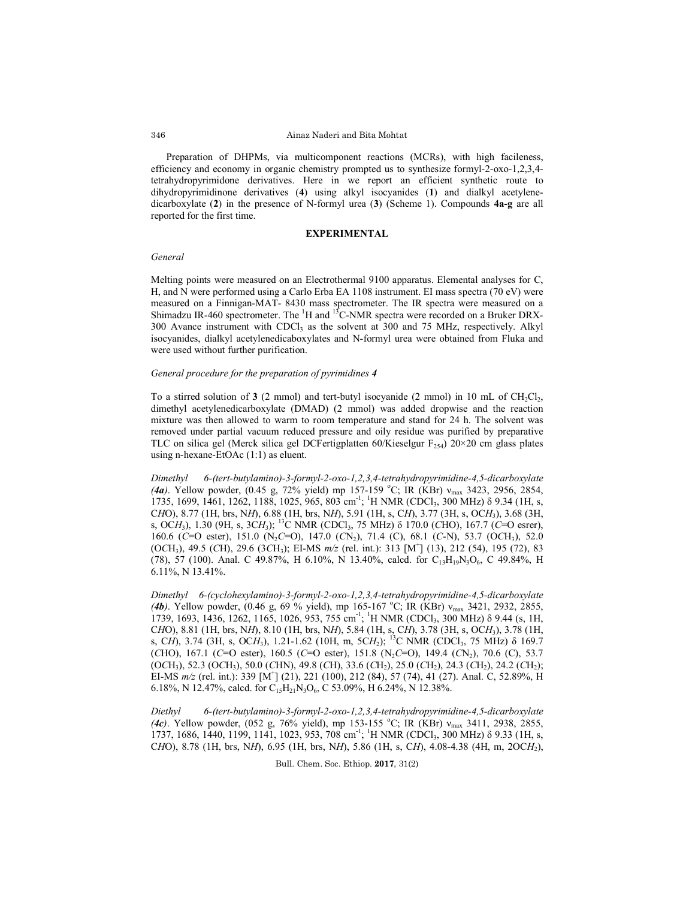#### Ainaz Naderi and Bita Mohtat

Preparation of DHPMs, via multicomponent reactions (MCRs), with high facileness, efficiency and economy in organic chemistry prompted us to synthesize formyl-2-oxo-1,2,3,4 tetrahydropyrimidone derivatives. Here in we report an efficient synthetic route to dihydropyrimidinone derivatives (**4**) using alkyl isocyanides (**1**) and dialkyl acetylenedicarboxylate (**2**) in the presence of N-formyl urea (**3**) (Scheme 1). Compounds **4a-g** are all reported for the first time.

## **EXPERIMENTAL**

#### *General*

Melting points were measured on an Electrothermal 9100 apparatus. Elemental analyses for C, H, and N were performed using a Carlo Erba EA 1108 instrument. EI mass spectra (70 eV) were measured on a Finnigan-MAT- 8430 mass spectrometer. The IR spectra were measured on a Shimadzu IR-460 spectrometer. The  ${}^{1}H$  and  ${}^{13}C$ -NMR spectra were recorded on a Bruker DRX- $300$  Avance instrument with CDCl<sub>3</sub> as the solvent at  $300$  and  $75$  MHz, respectively. Alkyl isocyanides, dialkyl acetylenedicaboxylates and N-formyl urea were obtained from Fluka and were used without further purification.

### *General procedure for the preparation of pyrimidines 4*

To a stirred solution of  $3$  (2 mmol) and tert-butyl isocyanide (2 mmol) in 10 mL of CH<sub>2</sub>Cl<sub>2</sub>, dimethyl acetylenedicarboxylate (DMAD) (2 mmol) was added dropwise and the reaction mixture was then allowed to warm to room temperature and stand for 24 h. The solvent was removed under partial vacuum reduced pressure and oily residue was purified by preparative TLC on silica gel (Merck silica gel DCFertigplatten 60/Kieselgur  $F_{254}$ ) 20×20 cm glass plates using n-hexane-EtOAc (1:1) as eluent.

*Dimethyl 6-(tert-butylamino)-3-formyl-2-oxo-1,2,3,4-tetrahydropyrimidine-4,5-dicarboxylate* (*4a*). Yellow powder, (0.45 g, 72% yield) mp 157-159 °C; IR (KBr) ν<sub>max</sub> 3423, 2956, 2854, 1735, 1699, 1461, 1262, 1188, 1025, 965, 803 cm<sup>-1</sup>; <sup>1</sup>H NMR (CDCl<sub>3</sub>, 300 MHz)  $\delta$  9.34 (1H, s, C*H*O), 8.77 (1H, brs, N*H*), 6.88 (1H, brs, N*H*), 5.91 (1H, s, C*H*), 3.77 (3H, s, OC*H*3), 3.68 (3H, s, OCH<sub>3</sub>), 1.30 (9H, s, 3CH<sub>3</sub>); <sup>13</sup>C NMR (CDCl<sub>3</sub>, 75 MHz) δ 170.0 (CHO), 167.7 (C=O esrer), 160.6 (*C*=O ester), 151.0 (N2*C*=O), 147.0 (*C*N2), 71.4 (C), 68.1 (*C*-N), 53.7 (O*C*H3), 52.0 (O*C*H3), 49.5 (*C*H), 29.6 (3*C*H3); EI-MS *m/z* (rel. int.): 313 [M<sup>+</sup> ] (13), 212 (54), 195 (72), 83 (78), 57 (100). Anal. C 49.87%, H 6.10%, N 13.40%, calcd. for  $C_{13}H_{19}N_3O_6$ , C 49.84%, H 6.11%, N 13.41%.

*Dimethyl 6-(cyclohexylamino)-3-formyl-2-oxo-1,2,3,4-tetrahydropyrimidine-4,5-dicarboxylate* (*4b*). Yellow powder, (0.46 g, 69 % yield), mp 165-167 °C; IR (KBr) ν<sub>max</sub> 3421, 2932, 2855, 1739, 1693, 1436, 1262, 1165, 1026, 953, 755 cm<sup>-1</sup>; <sup>1</sup>H NMR (CDCl<sub>3</sub>, 300 MHz) δ 9.44 (s, 1H, C*H*O), 8.81 (1H, brs, N*H*), 8.10 (1H, brs, N*H*), 5.84 (1H, s, C*H*), 3.78 (3H, s, OC*H*3), 3.78 (1H, s, CH), 3.74 (3H, s, OCH<sub>3</sub>), 1.21-1.62 (10H, m, 5CH<sub>2</sub>); <sup>13</sup>C NMR (CDCl<sub>3</sub>, 75 MHz) δ 169.7 (*C*HO), 167.1 (*C*=O ester), 160.5 (*C*=O ester), 151.8 (N<sub>2</sub>*C*=O), 149.4 (*C*N<sub>2</sub>), 70.6 (*C*), 53.7 (O*C*H3), 52.3 (O*C*H3), 50.0 (*C*HN), 49.8 (*C*H), 33.6 (*C*H2), 25.0 (*C*H2), 24.3 (*C*H2), 24.2 (*C*H2); EI-MS  $m/z$  (rel. int.): 339 [M<sup>+</sup>] (21), 221 (100), 212 (84), 57 (74), 41 (27). Anal. C, 52.89%, H 6.18%, N 12.47%, calcd. for  $C_{15}H_{21}N_3O_6$ , C 53.09%, H 6.24%, N 12.38%.

*Diethyl 6-(tert-butylamino)-3-formyl-2-oxo-1,2,3,4-tetrahydropyrimidine-4,5-dicarboxylate* (*4c*). Yellow powder, (052 g, 76% yield), mp 153-155 °C; IR (KBr) ν<sub>max</sub> 3411, 2938, 2855, 1737, 1686, 1440, 1199, 1141, 1023, 953, 708 cm<sup>-1</sup>; <sup>1</sup>H NMR (CDCl<sub>3</sub>, 300 MHz) δ 9.33 (1H, s, C*H*O), 8.78 (1H, brs, N*H*), 6.95 (1H, brs, N*H*), 5.86 (1H, s, C*H*), 4.08-4.38 (4H, m, 2OC*H*2),

Bull. Chem. Soc. Ethiop. **2017**, 31(2)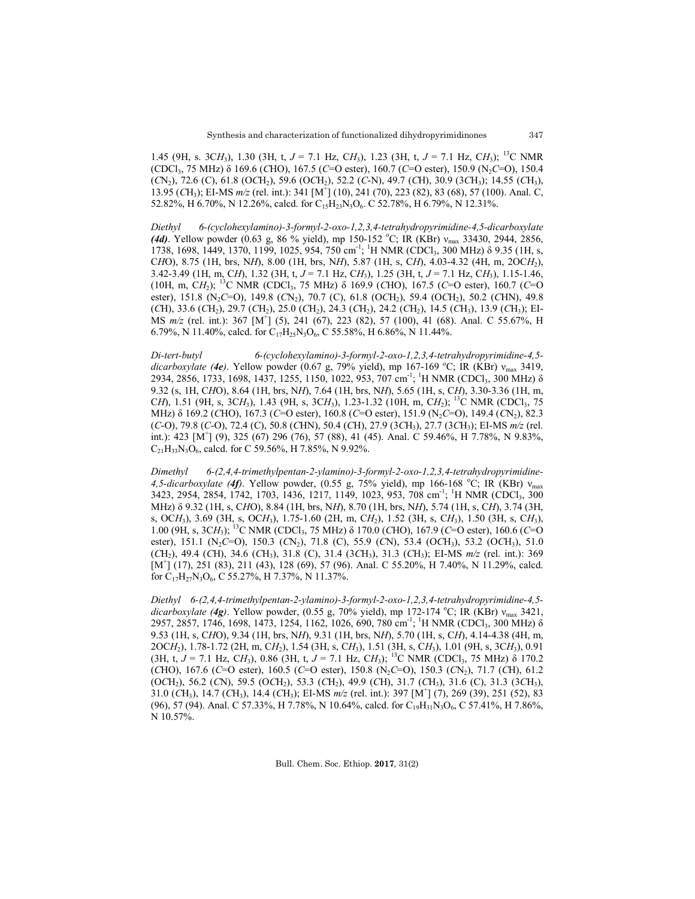1.45 (9H, s. 3C*H*3), 1.30 (3H, t, *J* = 7.1 Hz, C*H*3), 1.23 (3H, t, *J* = 7.1 Hz, C*H*3); 13C NMR (CDCl3, 75 MHz) δ 169.6 (*C*HO), 167.5 (*C*=O ester), 160.7 (*C*=O ester), 150.9 (N2*C*=O), 150.4 (*C*N2), 72.6 (C), 61.8 (O*C*H2), 59.6 (O*C*H2), 52.2 (*C*-N), 49.7 (*C*H), 30.9 (3*C*H3); 14.55 (*C*H3), 13.95 (*C*H3); EI-MS *m/z* (rel. int.): 341 [M+ ] (10), 241 (70), 223 (82), 83 (68), 57 (100). Anal. C, 52.82%, H 6.70%, N 12.26%, calcd. for  $C_{15}H_{23}N_3O_6$ . C 52.78%, H 6.79%, N 12.31%.

*Diethyl 6-(cyclohexylamino)-3-formyl-2-oxo-1,2,3,4-tetrahydropyrimidine-4,5-dicarboxylate* (4d). Yellow powder (0.63 g, 86 % yield), mp 150-152 °C; IR (KBr) v<sub>max</sub> 33430, 2944, 2856, 1738, 1698, 1449, 1370, 1199, 1025, 954, 750 cm<sup>-1</sup>; <sup>1</sup>H NMR (CDCl<sub>3</sub>, 300 MHz) δ 9.35 (1H, s, C*H*O), 8.75 (1H, brs, N*H*), 8.00 (1H, brs, N*H*), 5.87 (1H, s, C*H*), 4.03-4.32 (4H, m, 2OC*H*2), 3.42-3.49 (1H, m, C*H*), 1.32 (3H, t, *J* = 7.1 Hz, C*H*3), 1.25 (3H, t, *J* = 7.1 Hz, C*H*3), 1.15-1.46, (10H, m, C*H*2); 13C NMR (CDCl3, 75 MHz) δ 169.9 (*C*HO), 167.5 (*C*=O ester), 160.7 (*C*=O ester), 151.8 (N<sub>2</sub>C=O), 149.8 (CN<sub>2</sub>), 70.7 (C), 61.8 (OCH<sub>2</sub>), 59.4 (OCH<sub>2</sub>), 50.2 (CHN), 49.8 (*C*H), 33.6 (*C*H2), 29.7 (*C*H2), 25.0 (*C*H2), 24.3 (*C*H2), 24.2 (*C*H2), 14.5 (*C*H3), 13.9 (*C*H3); EI-MS  $m/z$  (rel. int.): 367 [M<sup>+</sup>] (5), 241 (67), 223 (82), 57 (100), 41 (68). Anal. C 55.67%, H 6.79%, N 11.40%, calcd. for  $C_{17}H_{25}N_3O_6$ , C 55.58%, H 6.86%, N 11.44%.

*Di-tert-butyl 6-(cyclohexylamino)-3-formyl-2-oxo-1,2,3,4-tetrahydropyrimidine-4,5 dicarboxylate (4e)*. Yellow powder (0.67 g, 79% yield), mp 167-169 <sup>o</sup> C; IR (KBr) νmax 3419, 2934, 2856, 1733, 1698, 1437, 1255, 1150, 1022, 953, 707 cm<sup>-1</sup>; <sup>1</sup>H NMR (CDCl<sub>3</sub>, 300 MHz) δ 9.32 (s, 1H, C*H*O), 8.64 (1H, brs, N*H*), 7.64 (1H, brs, N*H*), 5.65 (1H, s, C*H*), 3.30-3.36 (1H, m, C*H*), 1.51 (9H, s, 3C*H*<sub>3</sub>), 1.43 (9H, s, 3C*H*<sub>3</sub>), 1.23-1.32 (10H, m, C*H*<sub>2</sub>); <sup>13</sup>C NMR (CDCl<sub>3</sub>, 75 MHz) δ 169.2 (*C*HO), 167.3 (*C*=O ester), 160.8 (*C*=O ester), 151.9 (N2*C*=O), 149.4 (*C*N2), 82.3 (*C*-O), 79.8 (*C*-O), 72.4 (C), 50.8 (*C*HN), 50.4 (*C*H), 27.9 (3*C*H3), 27.7 (3*C*H3); EI-MS *m/z* (rel. int.): 423 [M<sup>+</sup>] (9), 325 (67) 296 (76), 57 (88), 41 (45). Anal. C 59.46%, H 7.78%, N 9.83%,  $C_{21}H_{33}N_3O_6$ , calcd. for C 59.56%, H 7.85%, N 9.92%.

*Dimethyl 6-(2,4,4-trimethylpentan-2-ylamino)-3-formyl-2-oxo-1,2,3,4-tetrahydropyrimidine-*4,5-dicarboxylate (4f). Yellow powder, (0.55 g, 75% yield), mp 166-168 °C; IR (KBr) ν<sub>max</sub> 3423, 2954, 2854, 1742, 1703, 1436, 1217, 1149, 1023, 953, 708 cm<sup>-1</sup>; <sup>1</sup>H NMR (CDCl<sub>3</sub>, 300 MHz) δ 9.32 (1H, s, C*H*O), 8.84 (1H, brs, N*H*), 8.70 (1H, brs, N*H*), 5.74 (1H, s, C*H*), 3.74 (3H, s, OC*H*3), 3.69 (3H, s, OC*H*3), 1.75-1.60 (2H, m, C*H*2), 1.52 (3H, s, C*H*3), 1.50 (3H, s, C*H*3), 1.00 (9H, s, 3C*H*3); 13C NMR (CDCl3, 75 MHz) δ 170.0 (*C*HO), 167.9 (*C*=O ester), 160.6 (*C*=O ester), 151.1 (N2*C*=O), 150.3 (*C*N2), 71.8 (C), 55.9 (*C*N), 53.4 (O*C*H3), 53.2 (O*C*H3), 51.0 (*C*H2), 49.4 (*C*H), 34.6 (*C*H3), 31.8 (C), 31.4 (3*C*H3), 31.3 (*C*H3); EI-MS *m/z* (rel. int.): 369 [M<sup>+</sup>] (17), 251 (83), 211 (43), 128 (69), 57 (96). Anal. C 55.20%, H 7.40%, N 11.29%, calcd. for  $C_{17}H_{27}N_3O_6$ , C 55.27%, H 7.37%, N 11.37%.

*Diethyl 6-(2,4,4-trimethylpentan-2-ylamino)-3-formyl-2-oxo-1,2,3,4-tetrahydropyrimidine-4,5 dicarboxylate* (4g). Yellow powder, (0.55 g, 70% yield), mp 172-174 °C; IR (KBr) ν<sub>max</sub> 3421, 2957, 2857, 1746, 1698, 1473, 1254, 1162, 1026, 690, 780 cm<sup>-1</sup>; <sup>1</sup>H NMR (CDCl<sub>3</sub>, 300 MHz) δ 9.53 (1H, s, C*H*O), 9.34 (1H, brs, N*H*), 9.31 (1H, brs, N*H*), 5.70 (1H, s, C*H*), 4.14-4.38 (4H, m, 2OC*H*2), 1.78-1.72 (2H, m, C*H*2), 1.54 (3H, s, C*H*3), 1.51 (3H, s, C*H*3), 1.01 (9H, s, 3C*H*3), 0.91  $(H, t, J = 7.1 \text{ Hz}, CH_3)$ , 0.86 (3H, t,  $J = 7.1 \text{ Hz}, CH_3$ ); <sup>13</sup>C NMR (CDCl<sub>3</sub>, 75 MHz)  $\delta$  170.2 (*C*HO), 167.6 (*C*=O ester), 160.5 (*C*=O ester), 150.8 (N2*C*=O), 150.3 (*C*N2), 71.7 (*C*H), 61.2 (O*C*H2), 56.2 (*C*N), 59.5 (O*C*H2), 53.3 (*C*H2), 49.9 (*C*H), 31.7 (*C*H3), 31.6 (C), 31.3 (3*C*H3), 31.0 (*C*H3), 14.7 (*C*H3), 14.4 (*C*H3); EI-MS *m/z* (rel. int.): 397 [M+ ] (7), 269 (39), 251 (52), 83 (96), 57 (94). Anal. C 57.33%, H 7.78%, N 10.64%, calcd. for C<sub>19</sub>H<sub>31</sub>N<sub>3</sub>O<sub>6</sub>, C 57.41%, H 7.86%, N 10.57%.

Bull. Chem. Soc. Ethiop. **2017**, 31(2)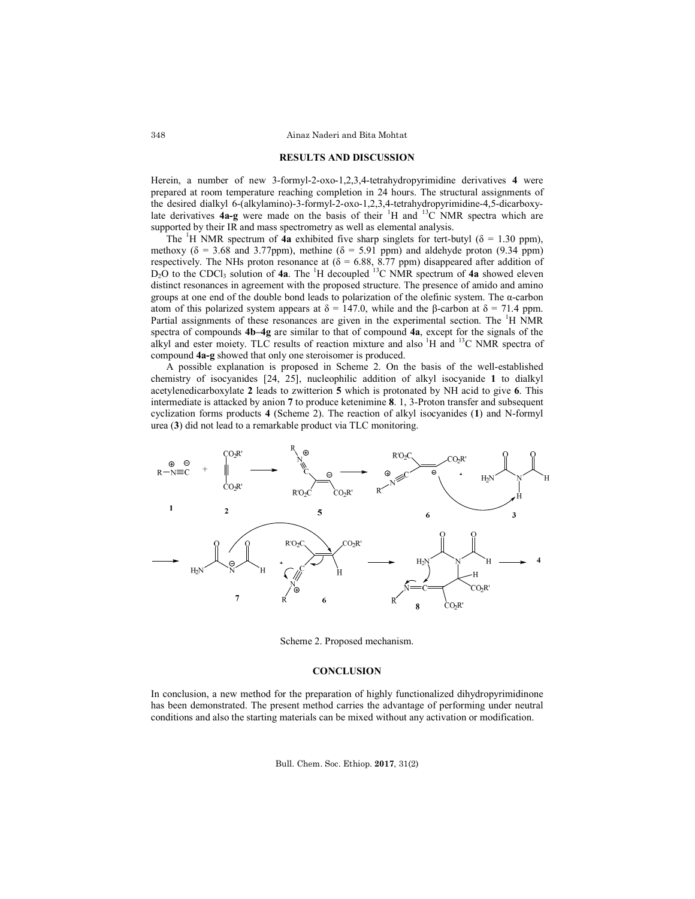#### **RESULTS AND DISCUSSION**

Herein, a number of new 3-formyl-2-oxo-1,2,3,4-tetrahydropyrimidine derivatives **4** were prepared at room temperature reaching completion in 24 hours. The structural assignments of the desired dialkyl 6-(alkylamino)-3-formyl-2-oxo-1,2,3,4-tetrahydropyrimidine-4,5-dicarboxylate derivatives  $4a-g$  were made on the basis of their <sup>1</sup>H and <sup>13</sup>C NMR spectra which are supported by their IR and mass spectrometry as well as elemental analysis.

The <sup>1</sup>H NMR spectrum of  $\hat{4a}$  exhibited five sharp singlets for tert-butyl ( $\delta = 1.30$  ppm), methoxy ( $\delta$  = 3.68 and 3.77ppm), methine ( $\delta$  = 5.91 ppm) and aldehyde proton (9.34 ppm) respectively. The NHs proton resonance at  $(\delta = 6.88, 8.77$  ppm) disappeared after addition of  $D_2O$  to the CDCl<sub>3</sub> solution of **4a**. The <sup>1</sup>H decoupled <sup>13</sup>C NMR spectrum of **4a** showed eleven distinct resonances in agreement with the proposed structure. The presence of amido and amino groups at one end of the double bond leads to polarization of the olefinic system. The  $\alpha$ -carbon atom of this polarized system appears at  $\delta = 147.0$ , while and the β-carbon at  $\delta = 71.4$  ppm. Partial assignments of these resonances are given in the experimental section. The <sup>1</sup>H NMR spectra of compounds **4b–4g** are similar to that of compound **4a**, except for the signals of the alkyl and ester moiety. TLC results of reaction mixture and also <sup>1</sup>H and <sup>13</sup>C NMR spectra of compound **4a-g** showed that only one steroisomer is produced.

A possible explanation is proposed in Scheme 2. On the basis of the well-established chemistry of isocyanides [24, 25], nucleophilic addition of alkyl isocyanide **1** to dialkyl acetylenedicarboxylate **2** leads to zwitterion **5** which is protonated by NH acid to give **6**. This intermediate is attacked by anion **7** to produce ketenimine **8**. 1, 3-Proton transfer and subsequent cyclization forms products **4** (Scheme 2). The reaction of alkyl isocyanides (**1**) and N-formyl urea (**3**) did not lead to a remarkable product via TLC monitoring.



Scheme 2. Proposed mechanism.

#### **CONCLUSION**

In conclusion, a new method for the preparation of highly functionalized dihydropyrimidinone has been demonstrated. The present method carries the advantage of performing under neutral conditions and also the starting materials can be mixed without any activation or modification.

Bull. Chem. Soc. Ethiop. **2017**, 31(2)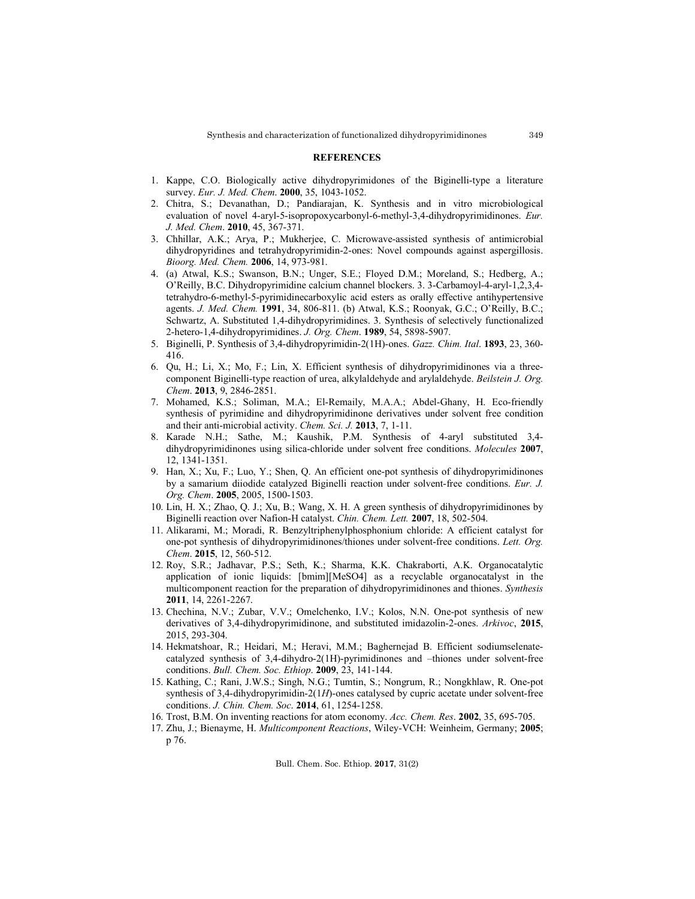#### **REFERENCES**

- 1. Kappe, C.O. Biologically active dihydropyrimidones of the Biginelli-type a literature survey. *Eur. J. Med. Chem*. **2000**, 35, 1043-1052.
- 2. Chitra, S.; Devanathan, D.; Pandiarajan, K. Synthesis and in vitro microbiological evaluation of novel 4-aryl-5-isopropoxycarbonyl-6-methyl-3,4-dihydropyrimidinones. *Eur. J. Med. Chem*. **2010**, 45, 367-371.
- 3. Chhillar, A.K.; Arya, P.; Mukherjee, C. Microwave-assisted synthesis of antimicrobial dihydropyridines and tetrahydropyrimidin-2-ones: Novel compounds against aspergillosis. *Bioorg. Med. Chem.* **2006**, 14, 973-981.
- 4. (a) Atwal, K.S.; Swanson, B.N.; Unger, S.E.; Floyed D.M.; Moreland, S.; Hedberg, A.; O'Reilly, B.C. Dihydropyrimidine calcium channel blockers. 3. 3-Carbamoyl-4-aryl-1,2,3,4 tetrahydro-6-methyl-5-pyrimidinecarboxylic acid esters as orally effective antihypertensive agents. *J. Med. Chem.* **1991**, 34, 806-811. (b) Atwal, K.S.; Roonyak, G.C.; O'Reilly, B.C.; Schwartz, A. Substituted 1,4-dihydropyrimidines. 3. Synthesis of selectively functionalized 2-hetero-1,4-dihydropyrimidines. *J. Org. Chem*. **1989**, 54, 5898-5907.
- 5. Biginelli, P. Synthesis of 3,4-dihydropyrimidin-2(1H)-ones. *Gazz. Chim. Ital*. **1893**, 23, 360- 416.
- 6. Qu, H.; Li, X.; Mo, F.; Lin, X. Efficient synthesis of dihydropyrimidinones via a threecomponent Biginelli-type reaction of urea, alkylaldehyde and arylaldehyde. *Beilstein J. Org. Chem*. **2013**, 9, 2846-2851.
- 7. Mohamed, K.S.; Soliman, M.A.; El-Remaily, M.A.A.; Abdel-Ghany, H. Eco-friendly synthesis of pyrimidine and dihydropyrimidinone derivatives under solvent free condition and their anti-microbial activity. *Chem. Sci. J.* **2013**, 7, 1-11.
- 8. Karade N.H.; Sathe, M.; Kaushik, P.M. Synthesis of 4-aryl substituted 3,4 dihydropyrimidinones using silica-chloride under solvent free conditions. *Molecules* **2007**, 12, 1341-1351.
- 9. Han, X.; Xu, F.; Luo, Y.; Shen, Q. An efficient one-pot synthesis of dihydropyrimidinones by a samarium diiodide catalyzed Biginelli reaction under solvent-free conditions. *Eur. J. Org. Chem*. **2005**, 2005, 1500-1503.
- 10. Lin, H. X.; Zhao, Q. J.; Xu, B.; Wang, X. H. A green synthesis of dihydropyrimidinones by Biginelli reaction over Nafion-H catalyst. *Chin. Chem. Lett.* **2007**, 18, 502-504.
- 11. Alikarami, M.; Moradi, R. Benzyltriphenylphosphonium chloride: A efficient catalyst for one-pot synthesis of dihydropyrimidinones/thiones under solvent-free conditions. *Lett. Org. Chem*. **2015**, 12, 560-512.
- 12. Roy, S.R.; Jadhavar, P.S.; Seth, K.; Sharma, K.K. Chakraborti, A.K. Organocatalytic application of ionic liquids: [bmim][MeSO4] as a recyclable organocatalyst in the multicomponent reaction for the preparation of dihydropyrimidinones and thiones. *Synthesis* **2011**, 14, 2261-2267.
- 13. Chechina, N.V.; Zubar, V.V.; Omelchenko, I.V.; Kolos, N.N. One-pot synthesis of new derivatives of 3,4-dihydropyrimidinone, and substituted imidazolin-2-ones. *Arkivoc*, **2015**, 2015, 293-304.
- 14. Hekmatshoar, R.; Heidari, M.; Heravi, M.M.; Baghernejad B. Efficient sodiumselenatecatalyzed synthesis of 3,4-dihydro-2(1H)-pyrimidinones and –thiones under solvent-free conditions. *Bull. Chem. Soc. Ethiop*. **2009**, 23, 141-144.
- 15. Kathing, C.; Rani, J.W.S.; Singh, N.G.; Tumtin, S.; Nongrum, R.; Nongkhlaw, R. One-pot synthesis of 3,4-dihydropyrimidin-2(1*H*)-ones catalysed by cupric acetate under solvent-free conditions. *J. Chin. Chem. Soc*. **2014**, 61, 1254-1258.
- 16. Trost, B.M. On inventing reactions for atom economy. *Acc. Chem. Res*. **2002**, 35, 695-705.
- 17. Zhu, J.; Bienayme, H. *Multicomponent Reactions*, Wiley-VCH: Weinheim, Germany; **2005**; p 76.